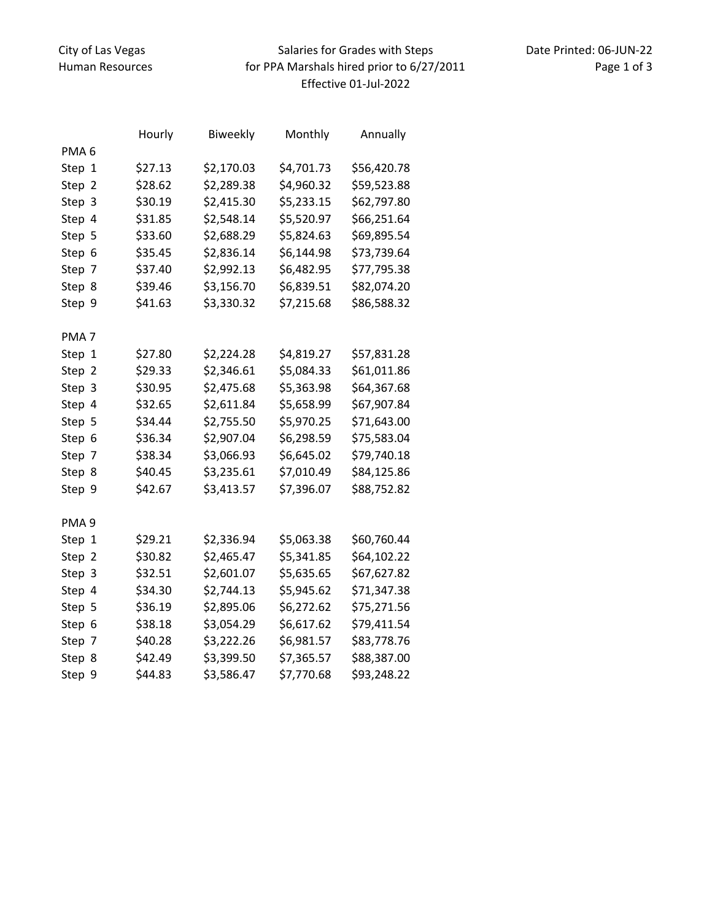## Salaries for Grades with Steps for PPA Marshals hired prior to 6/27/2011 Effective 01‐Jul‐2022

|                  | Hourly  | <b>Biweekly</b> | Monthly    | Annually    |
|------------------|---------|-----------------|------------|-------------|
| PMA <sub>6</sub> |         |                 |            |             |
| Step 1           | \$27.13 | \$2,170.03      | \$4,701.73 | \$56,420.78 |
| Step 2           | \$28.62 | \$2,289.38      | \$4,960.32 | \$59,523.88 |
| Step 3           | \$30.19 | \$2,415.30      | \$5,233.15 | \$62,797.80 |
| Step 4           | \$31.85 | \$2,548.14      | \$5,520.97 | \$66,251.64 |
| Step 5           | \$33.60 | \$2,688.29      | \$5,824.63 | \$69,895.54 |
| Step 6           | \$35.45 | \$2,836.14      | \$6,144.98 | \$73,739.64 |
| Step 7           | \$37.40 | \$2,992.13      | \$6,482.95 | \$77,795.38 |
| Step 8           | \$39.46 | \$3,156.70      | \$6,839.51 | \$82,074.20 |
| Step 9           | \$41.63 | \$3,330.32      | \$7,215.68 | \$86,588.32 |
|                  |         |                 |            |             |
| PMA <sub>7</sub> |         |                 |            |             |
| Step 1           | \$27.80 | \$2,224.28      | \$4,819.27 | \$57,831.28 |
| Step 2           | \$29.33 | \$2,346.61      | \$5,084.33 | \$61,011.86 |
| Step 3           | \$30.95 | \$2,475.68      | \$5,363.98 | \$64,367.68 |
| Step 4           | \$32.65 | \$2,611.84      | \$5,658.99 | \$67,907.84 |
| Step 5           | \$34.44 | \$2,755.50      | \$5,970.25 | \$71,643.00 |
| Step 6           | \$36.34 | \$2,907.04      | \$6,298.59 | \$75,583.04 |
| Step 7           | \$38.34 | \$3,066.93      | \$6,645.02 | \$79,740.18 |
| Step 8           | \$40.45 | \$3,235.61      | \$7,010.49 | \$84,125.86 |
| Step 9           | \$42.67 | \$3,413.57      | \$7,396.07 | \$88,752.82 |
|                  |         |                 |            |             |
| PMA <sub>9</sub> |         |                 |            |             |
| Step 1           | \$29.21 | \$2,336.94      | \$5,063.38 | \$60,760.44 |
| Step 2           | \$30.82 | \$2,465.47      | \$5,341.85 | \$64,102.22 |
| Step 3           | \$32.51 | \$2,601.07      | \$5,635.65 | \$67,627.82 |
| Step 4           | \$34.30 | \$2,744.13      | \$5,945.62 | \$71,347.38 |
| Step 5           | \$36.19 | \$2,895.06      | \$6,272.62 | \$75,271.56 |
| Step 6           | \$38.18 | \$3,054.29      | \$6,617.62 | \$79,411.54 |
| Step 7           | \$40.28 | \$3,222.26      | \$6,981.57 | \$83,778.76 |
| Step 8           | \$42.49 | \$3,399.50      | \$7,365.57 | \$88,387.00 |
| Step 9           | \$44.83 | \$3,586.47      | \$7,770.68 | \$93,248.22 |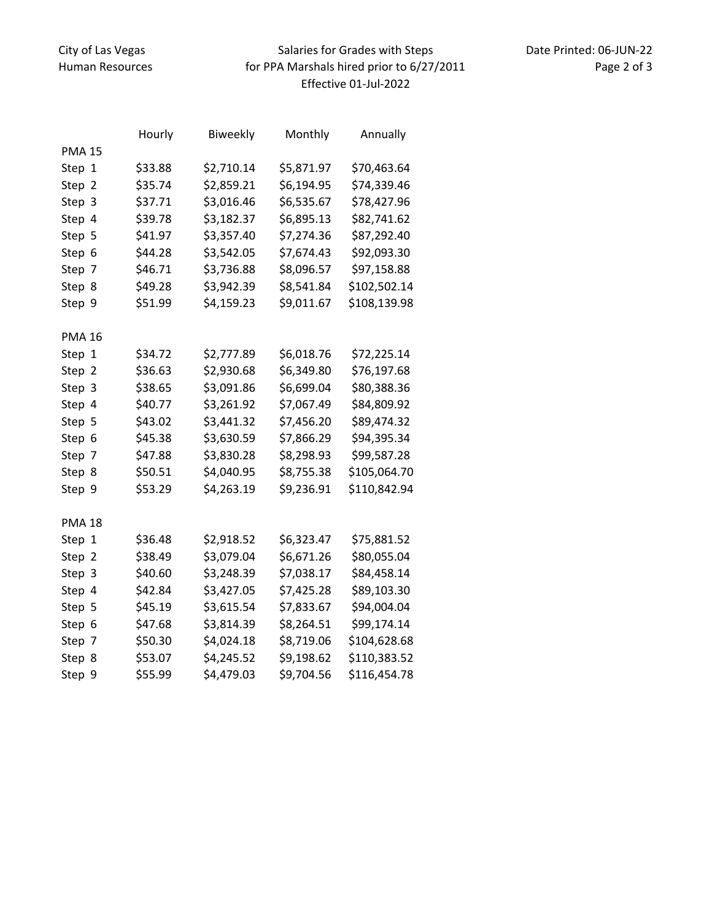## Salaries for Grades with Steps for PPA Marshals hired prior to 6/27/2011 Effective 01‐Jul‐2022

|               | Hourly  | Biweekly   | Monthly    | Annually     |
|---------------|---------|------------|------------|--------------|
| <b>PMA 15</b> |         |            |            |              |
| Step 1        | \$33.88 | \$2,710.14 | \$5,871.97 | \$70,463.64  |
| Step 2        | \$35.74 | \$2,859.21 | \$6,194.95 | \$74,339.46  |
| Step 3        | \$37.71 | \$3,016.46 | \$6,535.67 | \$78,427.96  |
| Step 4        | \$39.78 | \$3,182.37 | \$6,895.13 | \$82,741.62  |
| Step 5        | \$41.97 | \$3,357.40 | \$7,274.36 | \$87,292.40  |
| Step 6        | \$44.28 | \$3,542.05 | \$7,674.43 | \$92,093.30  |
| Step 7        | \$46.71 | \$3,736.88 | \$8,096.57 | \$97,158.88  |
| Step 8        | \$49.28 | \$3,942.39 | \$8,541.84 | \$102,502.14 |
| Step 9        | \$51.99 | \$4,159.23 | \$9,011.67 | \$108,139.98 |
|               |         |            |            |              |
| <b>PMA 16</b> |         |            |            |              |
| Step 1        | \$34.72 | \$2,777.89 | \$6,018.76 | \$72,225.14  |
| Step 2        | \$36.63 | \$2,930.68 | \$6,349.80 | \$76,197.68  |
| Step 3        | \$38.65 | \$3,091.86 | \$6,699.04 | \$80,388.36  |
| Step 4        | \$40.77 | \$3,261.92 | \$7,067.49 | \$84,809.92  |
| Step 5        | \$43.02 | \$3,441.32 | \$7,456.20 | \$89,474.32  |
| Step 6        | \$45.38 | \$3,630.59 | \$7,866.29 | \$94,395.34  |
| Step 7        | \$47.88 | \$3,830.28 | \$8,298.93 | \$99,587.28  |
| Step 8        | \$50.51 | \$4,040.95 | \$8,755.38 | \$105,064.70 |
| Step 9        | \$53.29 | \$4,263.19 | \$9,236.91 | \$110,842.94 |
|               |         |            |            |              |
| <b>PMA 18</b> |         |            |            |              |
| Step 1        | \$36.48 | \$2,918.52 | \$6,323.47 | \$75,881.52  |
| Step 2        | \$38.49 | \$3,079.04 | \$6,671.26 | \$80,055.04  |
| Step 3        | \$40.60 | \$3,248.39 | \$7,038.17 | \$84,458.14  |
| Step 4        | \$42.84 | \$3,427.05 | \$7,425.28 | \$89,103.30  |
| Step 5        | \$45.19 | \$3,615.54 | \$7,833.67 | \$94,004.04  |
| Step 6        | \$47.68 | \$3,814.39 | \$8,264.51 | \$99,174.14  |
| Step 7        | \$50.30 | \$4,024.18 | \$8,719.06 | \$104,628.68 |
| Step 8        | \$53.07 | \$4,245.52 | \$9,198.62 | \$110,383.52 |
| Step 9        | \$55.99 | \$4,479.03 | \$9,704.56 | \$116,454.78 |